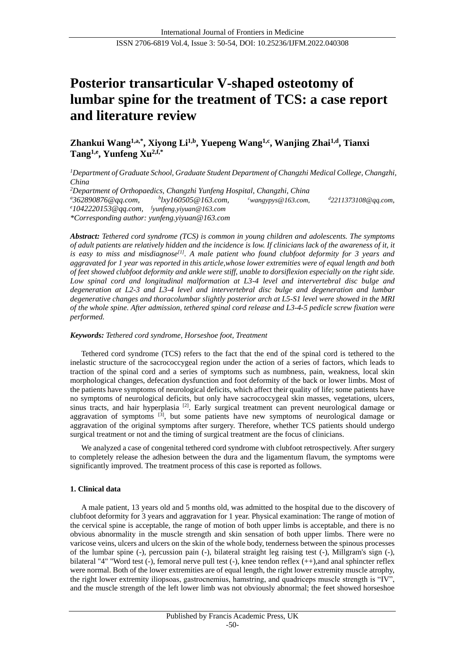# **Posterior transarticular V-shaped osteotomy of lumbar spine for the treatment of TCS: a case report and literature review**

**Zhankui Wang1,a,\*, Xiyong Li1,b, Yuepeng Wang1,c, Wanjing Zhai1,d , Tianxi Tang1,e, Yunfeng Xu2,f,\***

*<sup>1</sup>Department of Graduate School, Graduate Student Department of Changzhi Medical College, Changzhi, China <sup>2</sup>Department of Orthopaedics, Changzhi Yunfeng Hospital, Changzhi, China* 

*<sup>a</sup>362890876@qq.com, <sup>b</sup> lxy160505@163.com, <sup>c</sup>wangypys@163.com, <sup>d</sup>2211373108@qq.com,*

*<sup>e</sup>1042220153@qq.com, f [yunfeng.yiyuan@163.com](mailto:fyunfeng.yiyuan@163.com)*

*\*Corresponding author: yunfeng.yiyuan@163.com*

*Abstract: Tethered cord syndrome (TCS) is common in young children and adolescents. The symptoms of adult patients are relatively hidden and the incidence is low. If clinicians lack of the awareness of it, it is easy to miss and misdiagnose[1]. A male patient who found clubfoot deformity for 3 years and aggravated for 1 year was reported in this article,whose lower extremities were of equal length and both of feet showed clubfoot deformity and ankle were stiff, unable to dorsiflexion especially on the right side. Low spinal cord and longitudinal malformation at L3-4 level and intervertebral disc bulge and degeneration at L2-3 and L3-4 level and intervertebral disc bulge and degeneration and lumbar degenerative changes and thoracolumbar slightly posterior arch at L5-S1 level were showed in the MRI of the whole spine. After admission, tethered spinal cord release and L3-4-5 pedicle screw fixation were performed.*

# *Keywords: Tethered cord syndrome, Horseshoe foot, Treatment*

Tethered cord syndrome (TCS) refers to the fact that the end of the spinal cord is tethered to the inelastic structure of the sacrococcygeal region under the action of a series of factors, which leads to traction of the spinal cord and a series of symptoms such as numbness, pain, weakness, local skin morphological changes, defecation dysfunction and foot deformity of the back or lower limbs. Most of the patients have symptoms of neurological deficits, which affect their quality of life; some patients have no symptoms of neurological deficits, but only have sacrococcygeal skin masses, vegetations, ulcers, sinus tracts, and hair hyperplasia <sup>[2]</sup>. Early surgical treatment can prevent neurological damage or aggravation of symptoms <sup>[3]</sup>, but some patients have new symptoms of neurological damage or aggravation of the original symptoms after surgery. Therefore, whether TCS patients should undergo surgical treatment or not and the timing of surgical treatment are the focus of clinicians.

We analyzed a case of congenital tethered cord syndrome with clubfoot retrospectively. After surgery to completely release the adhesion between the dura and the ligamentum flavum, the symptoms were significantly improved. The treatment process of this case is reported as follows.

# **1. Clinical data**

A male patient, 13 years old and 5 months old, was admitted to the hospital due to the discovery of clubfoot deformity for 3 years and aggravation for 1 year. Physical examination: The range of motion of the cervical spine is acceptable, the range of motion of both upper limbs is acceptable, and there is no obvious abnormality in the muscle strength and skin sensation of both upper limbs. There were no varicose veins, ulcers and ulcers on the skin of the whole body, tenderness between the spinous processes of the lumbar spine (-), percussion pain (-), bilateral straight leg raising test (-), Millgram's sign (-), bilateral "4" "Word test (-), femoral nerve pull test (-), knee tendon reflex (++),and anal sphincter reflex were normal. Both of the lower extremities are of equal length, the right lower extremity muscle atrophy, the right lower extremity iliopsoas, gastrocnemius, hamstring, and quadriceps muscle strength is "IV", and the muscle strength of the left lower limb was not obviously abnormal; the feet showed horseshoe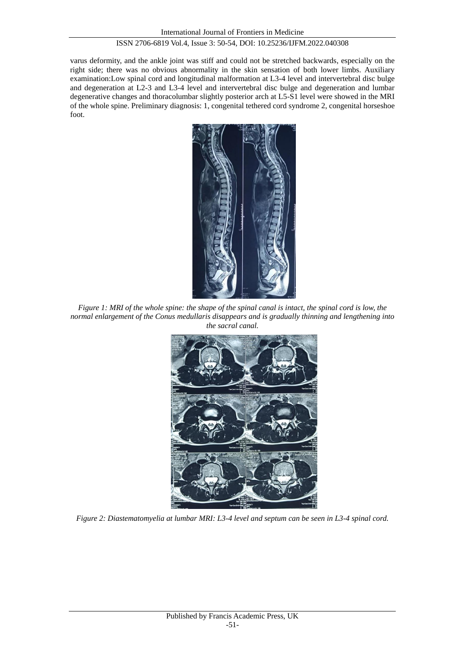#### ISSN 2706-6819 Vol.4, Issue 3: 50-54, DOI: 10.25236/IJFM.2022.040308

varus deformity, and the ankle joint was stiff and could not be stretched backwards, especially on the right side; there was no obvious abnormality in the skin sensation of both lower limbs. Auxiliary examination:Low spinal cord and longitudinal malformation at L3-4 level and intervertebral disc bulge and degeneration at L2-3 and L3-4 level and intervertebral disc bulge and degeneration and lumbar degenerative changes and thoracolumbar slightly posterior arch at L5-S1 level were showed in the MRI of the whole spine. Preliminary diagnosis: 1, congenital tethered cord syndrome 2, congenital horseshoe foot.



*Figure 1: MRI of the whole spine: the shape of the spinal canal is intact, the spinal cord is low, the normal enlargement of the Conus medullaris disappears and is gradually thinning and lengthening into the sacral canal.*



*Figure 2: Diastematomyelia at lumbar MRI: L3-4 level and septum can be seen in L3-4 spinal cord.*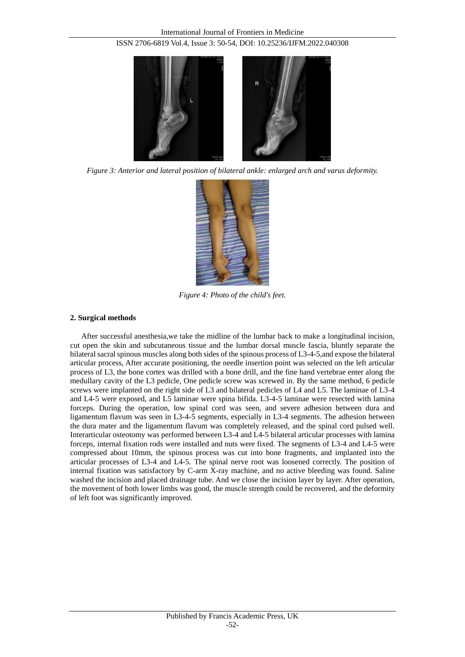

*Figure 3: Anterior and lateral position of bilateral ankle: enlarged arch and varus deformity.*



*Figure 4: Photo of the child's feet.*

# **2. Surgical methods**

After successful anesthesia,we take the midline of the lumbar back to make a longitudinal incision, cut open the skin and subcutaneous tissue and the lumbar dorsal muscle fascia, bluntly separate the bilateral sacral spinous muscles along both sides of the spinous process of L3-4-5,and expose the bilateral articular process, After accurate positioning, the needle insertion point was selected on the left articular process of L3, the bone cortex was drilled with a bone drill, and the fine hand vertebrae enter along the medullary cavity of the L3 pedicle, One pedicle screw was screwed in. By the same method, 6 pedicle screws were implanted on the right side of L3 and bilateral pedicles of L4 and L5. The laminae of L3-4 and L4-5 were exposed, and L5 laminae were spina bifida. L3-4-5 laminae were resected with lamina forceps. During the operation, low spinal cord was seen, and severe adhesion between dura and ligamentum flavum was seen in L3-4-5 segments, especially in L3-4 segments. The adhesion between the dura mater and the ligamentum flavum was completely released, and the spinal cord pulsed well. Interarticular osteotomy was performed between L3-4 and L4-5 bilateral articular processes with lamina forceps, internal fixation rods were installed and nuts were fixed. The segments of L3-4 and L4-5 were compressed about 10mm, the spinous process was cut into bone fragments, and implanted into the articular processes of L3-4 and L4-5. The spinal nerve root was loosened correctly. The position of internal fixation was satisfactory by C-arm X-ray machine, and no active bleeding was found. Saline washed the incision and placed drainage tube. And we close the incision layer by layer. After operation, the movement of both lower limbs was good, the muscle strength could be recovered, and the deformity of left foot was significantly improved.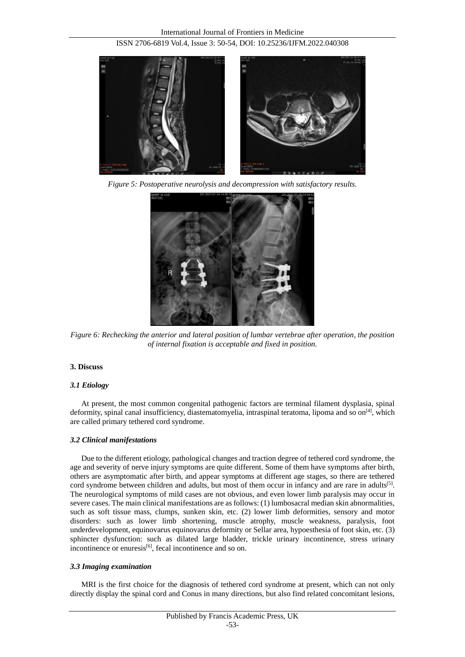

*Figure 5: Postoperative neurolysis and decompression with satisfactory results.*



*Figure 6: Rechecking the anterior and lateral position of lumbar vertebrae after operation, the position of internal fixation is acceptable and fixed in position.*

# **3. Discuss**

# *3.1 Etiology*

At present, the most common congenital pathogenic factors are terminal filament dysplasia, spinal deformity, spinal canal insufficiency, diastematomyelia, intraspinal teratoma, lipoma and so on $[4]$ , which are called primary tethered cord syndrome.

# *3.2 Clinical manifestations*

Due to the different etiology, pathological changes and traction degree of tethered cord syndrome, the age and severity of nerve injury symptoms are quite different. Some of them have symptoms after birth, others are asymptomatic after birth, and appear symptoms at different age stages, so there are tethered cord syndrome between children and adults, but most of them occur in infancy and are rare in adults<sup>[5]</sup>. The neurological symptoms of mild cases are not obvious, and even lower limb paralysis may occur in severe cases. The main clinical manifestations are as follows: (1) lumbosacral median skin abnormalities, such as soft tissue mass, clumps, sunken skin, etc. (2) lower limb deformities, sensory and motor disorders: such as lower limb shortening, muscle atrophy, muscle weakness, paralysis, foot underdevelopment, equinovarus equinovarus deformity or Sellar area, hypoesthesia of foot skin, etc. (3) sphincter dysfunction: such as dilated large bladder, trickle urinary incontinence, stress urinary incontinence or enuresis $[6]$ , fecal incontinence and so on.

# *3.3 Imaging examination*

MRI is the first choice for the diagnosis of tethered cord syndrome at present, which can not only directly display the spinal cord and Conus in many directions, but also find related concomitant lesions,